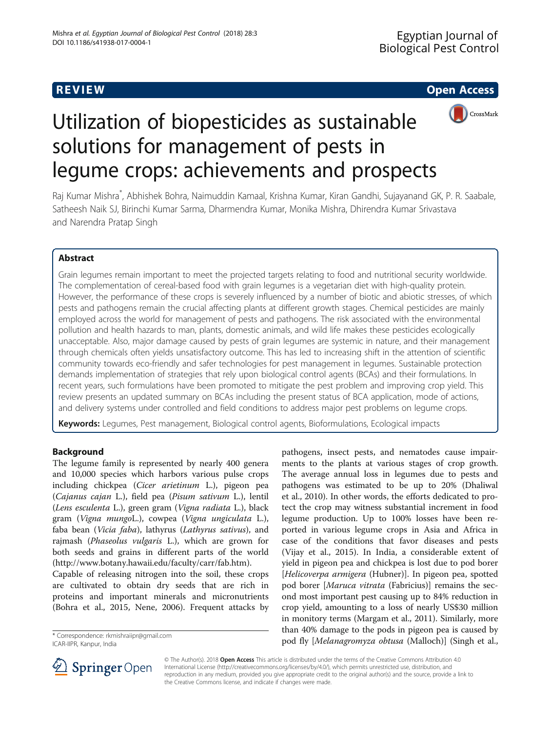**REVIEW CONSTRUCTION CONSTRUCTION CONSTRUCTS** 



# Utilization of biopesticides as sustainable solutions for management of pests in legume crops: achievements and prospects

Raj Kumar Mishra\* , Abhishek Bohra, Naimuddin Kamaal, Krishna Kumar, Kiran Gandhi, Sujayanand GK, P. R. Saabale, Satheesh Naik SJ, Birinchi Kumar Sarma, Dharmendra Kumar, Monika Mishra, Dhirendra Kumar Srivastava and Narendra Pratap Singh

# Abstract

Grain legumes remain important to meet the projected targets relating to food and nutritional security worldwide. The complementation of cereal-based food with grain legumes is a vegetarian diet with high-quality protein. However, the performance of these crops is severely influenced by a number of biotic and abiotic stresses, of which pests and pathogens remain the crucial affecting plants at different growth stages. Chemical pesticides are mainly employed across the world for management of pests and pathogens. The risk associated with the environmental pollution and health hazards to man, plants, domestic animals, and wild life makes these pesticides ecologically unacceptable. Also, major damage caused by pests of grain legumes are systemic in nature, and their management through chemicals often yields unsatisfactory outcome. This has led to increasing shift in the attention of scientific community towards eco-friendly and safer technologies for pest management in legumes. Sustainable protection demands implementation of strategies that rely upon biological control agents (BCAs) and their formulations. In recent years, such formulations have been promoted to mitigate the pest problem and improving crop yield. This review presents an updated summary on BCAs including the present status of BCA application, mode of actions, and delivery systems under controlled and field conditions to address major pest problems on legume crops.

Keywords: Legumes, Pest management, Biological control agents, Bioformulations, Ecological impacts

# Background

The legume family is represented by nearly 400 genera and 10,000 species which harbors various pulse crops including chickpea (Cicer arietinum L.), pigeon pea (Cajanus cajan L.), field pea (Pisum sativum L.), lentil (Lens esculenta L.), green gram (Vigna radiata L.), black gram (Vigna mungoL.), cowpea (Vigna ungiculata L.), faba bean (Vicia faba), lathyrus (Lathyrus sativus), and rajmash (Phaseolus vulgaris L.), which are grown for both seeds and grains in different parts of the world ([http://www.botany.hawaii.edu/faculty/carr/fab.htm\)](http://www.botany.hawaii.edu/faculty/carr/fab.htm).

Capable of releasing nitrogen into the soil, these crops are cultivated to obtain dry seeds that are rich in proteins and important minerals and micronutrients (Bohra et al., [2015,](#page-8-0) Nene, [2006\)](#page-9-0). Frequent attacks by

ICAR-IIPR, Kanpur, India

pathogens, insect pests, and nematodes cause impairments to the plants at various stages of crop growth. The average annual loss in legumes due to pests and pathogens was estimated to be up to 20% (Dhaliwal et al., [2010\)](#page-8-0). In other words, the efforts dedicated to protect the crop may witness substantial increment in food legume production. Up to 100% losses have been reported in various legume crops in Asia and Africa in case of the conditions that favor diseases and pests (Vijay et al., [2015](#page-10-0)). In India, a considerable extent of yield in pigeon pea and chickpea is lost due to pod borer [Helicoverpa armigera (Hubner)]. In pigeon pea, spotted pod borer [Maruca vitrata (Fabricius)] remains the second most important pest causing up to 84% reduction in crop yield, amounting to a loss of nearly US\$30 million in monitory terms (Margam et al., [2011\)](#page-9-0). Similarly, more than 40% damage to the pods in pigeon pea is caused by \* Correspondence: [rkmishraiipr@gmail.com](mailto:rkmishraiipr@gmail.com) **and the correspondence: rkmishraiipr@gmail.com**<br> **pod fly [Melanagromyza obtusa (Malloch)] (Singh et al.,** \* Correspondence: rkmishraiipr@gmail.com



© The Author(s). 2018 Open Access This article is distributed under the terms of the Creative Commons Attribution 4.0 International License ([http://creativecommons.org/licenses/by/4.0/\)](http://creativecommons.org/licenses/by/4.0/), which permits unrestricted use, distribution, and reproduction in any medium, provided you give appropriate credit to the original author(s) and the source, provide a link to the Creative Commons license, and indicate if changes were made.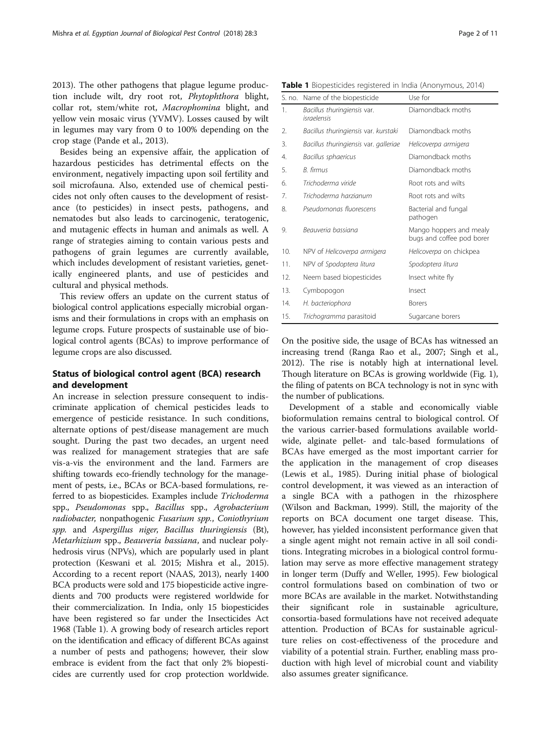[2013](#page-9-0)). The other pathogens that plague legume production include wilt, dry root rot, Phytophthora blight, collar rot, stem/white rot, Macrophomina blight, and yellow vein mosaic virus (YVMV). Losses caused by wilt in legumes may vary from 0 to 100% depending on the crop stage (Pande et al., [2013\)](#page-9-0).

Besides being an expensive affair, the application of hazardous pesticides has detrimental effects on the environment, negatively impacting upon soil fertility and soil microfauna. Also, extended use of chemical pesticides not only often causes to the development of resistance (to pesticides) in insect pests, pathogens, and nematodes but also leads to carcinogenic, teratogenic, and mutagenic effects in human and animals as well. A range of strategies aiming to contain various pests and pathogens of grain legumes are currently available, which includes development of resistant varieties, genetically engineered plants, and use of pesticides and cultural and physical methods.

This review offers an update on the current status of biological control applications especially microbial organisms and their formulations in crops with an emphasis on legume crops. Future prospects of sustainable use of biological control agents (BCAs) to improve performance of legume crops are also discussed.

# Status of biological control agent (BCA) research and development

An increase in selection pressure consequent to indiscriminate application of chemical pesticides leads to emergence of pesticide resistance. In such conditions, alternate options of pest/disease management are much sought. During the past two decades, an urgent need was realized for management strategies that are safe vis-a-vis the environment and the land. Farmers are shifting towards eco-friendly technology for the management of pests, i.e., BCAs or BCA-based formulations, referred to as biopesticides. Examples include Trichoderma spp., Pseudomonas spp., Bacillus spp., Agrobacterium radiobacter, nonpathogenic Fusarium spp., Coniothyrium spp. and Aspergillus niger, Bacillus thuringiensis (Bt), Metarhizium spp., Beauveria bassiana, and nuclear polyhedrosis virus (NPVs), which are popularly used in plant protection (Keswani et al. [2015;](#page-8-0) Mishra et al., [2015](#page-9-0)). According to a recent report (NAAS, [2013\)](#page-9-0), nearly 1400 BCA products were sold and 175 biopesticide active ingredients and 700 products were registered worldwide for their commercialization. In India, only 15 biopesticides have been registered so far under the Insecticides Act 1968 (Table 1). A growing body of research articles report on the identification and efficacy of different BCAs against a number of pests and pathogens; however, their slow embrace is evident from the fact that only 2% biopesticides are currently used for crop protection worldwide.

Table 1 Biopesticides registered in India (Anonymous, [2014\)](#page-8-0)

| S. no. | Name of the biopesticide                   | Use for                                              |  |
|--------|--------------------------------------------|------------------------------------------------------|--|
| 1.     | Bacillus thuringiensis var.<br>israelensis | Diamondback moths                                    |  |
| 2.     | Bacillus thuringiensis var. kurstaki       | Diamondback moths                                    |  |
| 3.     | Bacillus thuringiensis var. galleriae      | Helicoverpa armigera                                 |  |
| 4.     | Bacillus sphaericus                        | Diamondback moths                                    |  |
| 5.     | B. firmus                                  | Diamondback moths                                    |  |
| б.     | Trichoderma viride                         | Root rots and wilts                                  |  |
| 7.     | Trichoderma harzianum                      | Root rots and wilts                                  |  |
| 8.     | Pseudomonas fluorescens                    | Bacterial and fungal<br>pathogen                     |  |
| 9.     | Beauveria bassiana                         | Mango hoppers and mealy<br>bugs and coffee pod borer |  |
| 10.    | NPV of Helicoverpa armigera                | Helicoverpa on chickpea                              |  |
| 11.    | NPV of Spodoptera litura                   | Spodoptera litura                                    |  |
| 12.    | Neem based biopesticides                   | Insect white fly                                     |  |
| 13.    | Cymbopogon                                 | Insect                                               |  |
| 14.    | H. bacteriophora                           | <b>Borers</b>                                        |  |
| 15.    | Trichogramma parasitoid                    | Sugarcane borers                                     |  |

On the positive side, the usage of BCAs has witnessed an increasing trend (Ranga Rao et al., [2007;](#page-9-0) Singh et al., [2012\)](#page-9-0). The rise is notably high at international level. Though literature on BCAs is growing worldwide (Fig. [1](#page-2-0)), the filing of patents on BCA technology is not in sync with the number of publications.

Development of a stable and economically viable bioformulation remains central to biological control. Of the various carrier-based formulations available worldwide, alginate pellet- and talc-based formulations of BCAs have emerged as the most important carrier for the application in the management of crop diseases (Lewis et al., [1985\)](#page-9-0). During initial phase of biological control development, it was viewed as an interaction of a single BCA with a pathogen in the rhizosphere (Wilson and Backman, [1999](#page-10-0)). Still, the majority of the reports on BCA document one target disease. This, however, has yielded inconsistent performance given that a single agent might not remain active in all soil conditions. Integrating microbes in a biological control formulation may serve as more effective management strategy in longer term (Duffy and Weller, [1995](#page-8-0)). Few biological control formulations based on combination of two or more BCAs are available in the market. Notwithstanding their significant role in sustainable agriculture, consortia-based formulations have not received adequate attention. Production of BCAs for sustainable agriculture relies on cost-effectiveness of the procedure and viability of a potential strain. Further, enabling mass production with high level of microbial count and viability also assumes greater significance.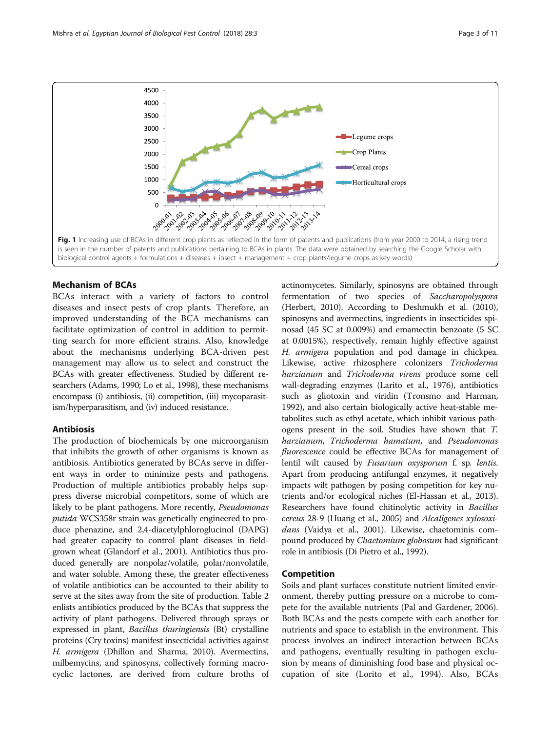<span id="page-2-0"></span>

## Mechanism of BCAs

BCAs interact with a variety of factors to control diseases and insect pests of crop plants. Therefore, an improved understanding of the BCA mechanisms can facilitate optimization of control in addition to permitting search for more efficient strains. Also, knowledge about the mechanisms underlying BCA-driven pest management may allow us to select and construct the BCAs with greater effectiveness. Studied by different researchers (Adams, [1990](#page-8-0); Lo et al., [1998\)](#page-9-0), these mechanisms encompass (i) antibiosis, (ii) competition, (iii) mycoparasitism/hyperparasitism, and (iv) induced resistance.

#### Antibiosis

The production of biochemicals by one microorganism that inhibits the growth of other organisms is known as antibiosis. Antibiotics generated by BCAs serve in different ways in order to minimize pests and pathogens. Production of multiple antibiotics probably helps suppress diverse microbial competitors, some of which are likely to be plant pathogens. More recently, *Pseudomonas* putida WCS358r strain was genetically engineered to produce phenazine, and 2,4-diacetylphloroglucinol (DAPG) had greater capacity to control plant diseases in fieldgrown wheat (Glandorf et al., [2001\)](#page-8-0). Antibiotics thus produced generally are nonpolar/volatile, polar/nonvolatile, and water soluble. Among these, the greater effectiveness of volatile antibiotics can be accounted to their ability to serve at the sites away from the site of production. Table [2](#page-3-0) enlists antibiotics produced by the BCAs that suppress the activity of plant pathogens. Delivered through sprays or expressed in plant, Bacillus thuringiensis (Bt) crystalline proteins (Cry toxins) manifest insecticidal activities against H. armigera (Dhillon and Sharma, [2010\)](#page-8-0). Avermectins, milbemycins, and spinosyns, collectively forming macrocyclic lactones, are derived from culture broths of

actinomycetes. Similarly, spinosyns are obtained through fermentation of two species of Saccharopolyspora (Herbert, [2010\)](#page-8-0). According to Deshmukh et al. [\(2010](#page-8-0)), spinosyns and avermectins, ingredients in insecticides spinosad (45 SC at 0.009%) and emamectin benzoate (5 SC at 0.0015%), respectively, remain highly effective against H. armigera population and pod damage in chickpea. Likewise, active rhizosphere colonizers Trichoderma harzianum and Trichoderma virens produce some cell wall-degrading enzymes (Larito et al., [1976](#page-9-0)), antibiotics such as gliotoxin and viridin (Tronsmo and Harman, [1992\)](#page-9-0), and also certain biologically active heat-stable metabolites such as ethyl acetate, which inhibit various pathogens present in the soil. Studies have shown that T. harzianum, Trichoderma hamatum, and Pseudomonas fluorescence could be effective BCAs for management of lentil wilt caused by Fusarium oxysporum f. sp. lentis. Apart from producing antifungal enzymes, it negatively impacts wilt pathogen by posing competition for key nutrients and/or ecological niches (El-Hassan et al., [2013](#page-8-0)). Researchers have found chitinolytic activity in Bacillus cereus 28-9 (Huang et al., [2005\)](#page-8-0) and Alcaligenes xylosoxidans (Vaidya et al., [2001](#page-9-0)). Likewise, chaetominis compound produced by Chaetomium globosum had significant role in antibiosis (Di Pietro et al., [1992](#page-8-0)).

### Competition

Soils and plant surfaces constitute nutrient limited environment, thereby putting pressure on a microbe to compete for the available nutrients (Pal and Gardener, [2006](#page-9-0)). Both BCAs and the pests compete with each another for nutrients and space to establish in the environment. This process involves an indirect interaction between BCAs and pathogens, eventually resulting in pathogen exclusion by means of diminishing food base and physical occupation of site (Lorito et al., [1994\)](#page-9-0). Also, BCAs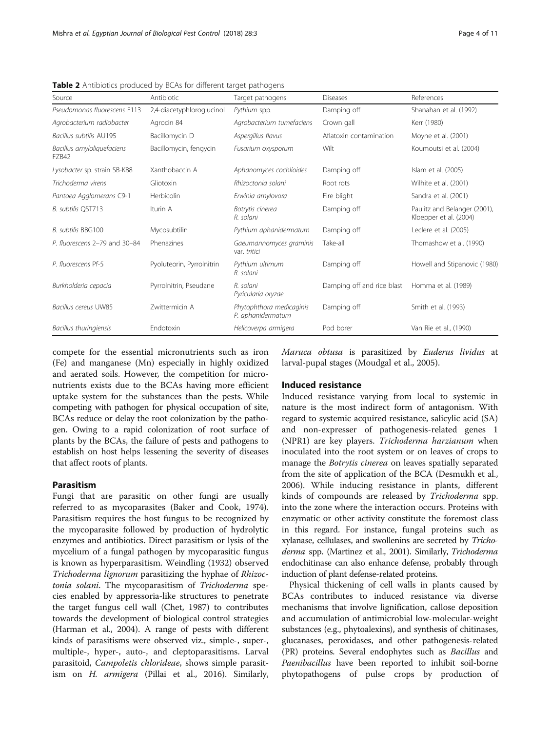| Page 4 of 11 |  |  |  |
|--------------|--|--|--|
|--------------|--|--|--|

| Source                              | Antibiotic                | Target pathogens                              | Diseases                   | References                                             |
|-------------------------------------|---------------------------|-----------------------------------------------|----------------------------|--------------------------------------------------------|
| Pseudomonas fluorescens F113        | 2,4-diacetyphloroglucinol | Pythium spp.                                  | Damping off                | Shanahan et al. (1992)                                 |
| Agrobacterium radiobacter           | Agrocin 84                | Agrobacterium tumefaciens                     | Crown gall                 | Kerr (1980)                                            |
| <b>Bacillus subtilis AU195</b>      | Bacillomycin D            | Aspergillus flavus                            | Aflatoxin contamination    | Moyne et al. (2001)                                    |
| Bacillus amyloliquefaciens<br>FZB42 | Bacillomycin, fengycin    | Fusarium oxysporum                            | Wilt                       | Koumoutsi et al. (2004)                                |
| Lysobacter sp. strain SB-K88        | Xanthobaccin A            | Aphanomyces cochlioides                       | Damping off                | Islam et al. (2005)                                    |
| Trichoderma virens                  | Gliotoxin                 | Rhizoctonia solani                            | Root rots                  | Wilhite et al. (2001)                                  |
| Pantoea Agglomerans C9-1            | Herbicolin                | Erwinia amylovora                             | Fire blight                | Sandra et al. (2001)                                   |
| B. subtilis QST713                  | Iturin A                  | Botrytis cinerea<br>R. solani                 | Damping off                | Paulitz and Belanger (2001),<br>Kloepper et al. (2004) |
| B. subtilis BBG100                  | Mycosubtilin              | Pythium aphanidermatum                        | Damping off                | Leclere et al. (2005)                                  |
| P. fluorescens 2-79 and 30-84       | Phenazines                | Gaeumannomyces graminis<br>var. tritici       | Take-all                   | Thomashow et al. (1990)                                |
| P. fluorescens Pf-5                 | Pyoluteorin, Pyrrolnitrin | Pythium ultimum<br>R. solani                  | Damping off                | Howell and Stipanovic (1980)                           |
| Burkholderia cepacia                | Pyrrolnitrin, Pseudane    | R. solani<br>Pyricularia oryzae               | Damping off and rice blast | Homma et al. (1989)                                    |
| Bacillus cereus UW85                | <b>Zwittermicin A</b>     | Phytophthora medicaginis<br>P. aphanidermatum | Damping off                | Smith et al. (1993)                                    |
| Bacillus thuringiensis              | Endotoxin                 | Helicoverpa armigera                          | Pod borer                  | Van Rie et al., (1990)                                 |

<span id="page-3-0"></span>Table 2 Antibiotics produced by BCAs for different target pathogens

compete for the essential micronutrients such as iron (Fe) and manganese (Mn) especially in highly oxidized and aerated soils. However, the competition for micronutrients exists due to the BCAs having more efficient uptake system for the substances than the pests. While competing with pathogen for physical occupation of site, BCAs reduce or delay the root colonization by the pathogen. Owing to a rapid colonization of root surface of plants by the BCAs, the failure of pests and pathogens to establish on host helps lessening the severity of diseases that affect roots of plants.

# Parasitism

Fungi that are parasitic on other fungi are usually referred to as mycoparasites (Baker and Cook, [1974](#page-8-0)). Parasitism requires the host fungus to be recognized by the mycoparasite followed by production of hydrolytic enzymes and antibiotics. Direct parasitism or lysis of the mycelium of a fungal pathogen by mycoparasitic fungus is known as hyperparasitism. Weindling [\(1932\)](#page-10-0) observed Trichoderma lignorum parasitizing the hyphae of Rhizoctonia solani. The mycoparasitism of Trichoderma species enabled by appressoria-like structures to penetrate the target fungus cell wall (Chet, [1987\)](#page-8-0) to contributes towards the development of biological control strategies (Harman et al., [2004](#page-8-0)). A range of pests with different kinds of parasitisms were observed viz., simple-, super-, multiple-, hyper-, auto-, and cleptoparasitisms. Larval parasitoid, Campoletis chlorideae, shows simple parasitism on H. armigera (Pillai et al., [2016\)](#page-9-0). Similarly, Maruca obtusa is parasitized by Euderus lividus at larval-pupal stages (Moudgal et al., [2005](#page-9-0)).

# Induced resistance

Induced resistance varying from local to systemic in nature is the most indirect form of antagonism. With regard to systemic acquired resistance, salicylic acid (SA) and non-expresser of pathogenesis-related genes 1 (NPR1) are key players. Trichoderma harzianum when inoculated into the root system or on leaves of crops to manage the Botrytis cinerea on leaves spatially separated from the site of application of the BCA (Desmukh et al., [2006](#page-8-0)). While inducing resistance in plants, different kinds of compounds are released by Trichoderma spp. into the zone where the interaction occurs. Proteins with enzymatic or other activity constitute the foremost class in this regard. For instance, fungal proteins such as xylanase, cellulases, and swollenins are secreted by Tricho-derma spp. (Martinez et al., [2001\)](#page-9-0). Similarly, Trichoderma endochitinase can also enhance defense, probably through induction of plant defense-related proteins.

Physical thickening of cell walls in plants caused by BCAs contributes to induced resistance via diverse mechanisms that involve lignification, callose deposition and accumulation of antimicrobial low-molecular-weight substances (e.g., phytoalexins), and synthesis of chitinases, glucanases, peroxidases, and other pathogenesis-related (PR) proteins. Several endophytes such as Bacillus and Paenibacillus have been reported to inhibit soil-borne phytopathogens of pulse crops by production of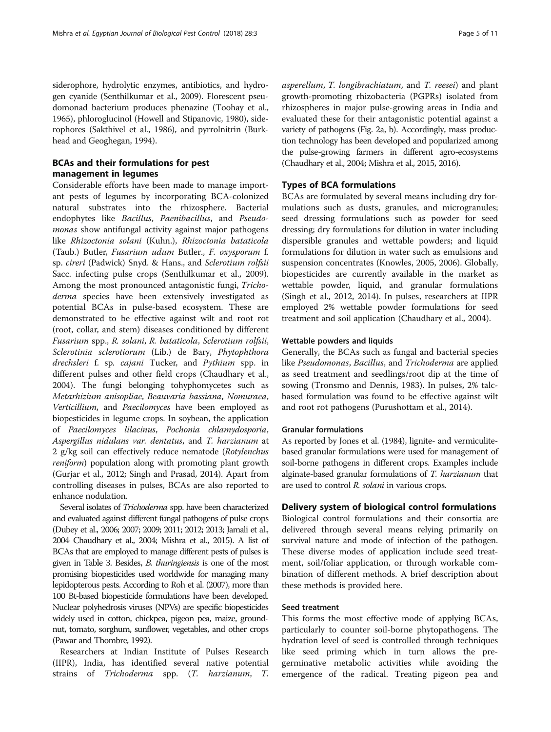siderophore, hydrolytic enzymes, antibiotics, and hydrogen cyanide (Senthilkumar et al., [2009\)](#page-9-0). Florescent pseudomonad bacterium produces phenazine (Toohay et al., [1965\)](#page-9-0), phloroglucinol (Howell and Stipanovic, [1980](#page-8-0)), siderophores (Sakthivel et al., [1986\)](#page-9-0), and pyrrolnitrin (Burkhead and Geoghegan, [1994\)](#page-8-0).

# BCAs and their formulations for pest management in legumes

Considerable efforts have been made to manage important pests of legumes by incorporating BCA-colonized natural substrates into the rhizosphere. Bacterial endophytes like Bacillus, Paenibacillus, and Pseudomonas show antifungal activity against major pathogens like Rhizoctonia solani (Kuhn.), Rhizoctonia bataticola (Taub.) Butler, Fusarium udum Butler., F. oxysporum f. sp. cireri (Padwick) Snyd. & Hans., and Sclerotium rolfsii Sacc. infecting pulse crops (Senthilkumar et al., [2009](#page-9-0)). Among the most pronounced antagonistic fungi, Trichoderma species have been extensively investigated as potential BCAs in pulse-based ecosystem. These are demonstrated to be effective against wilt and root rot (root, collar, and stem) diseases conditioned by different Fusarium spp., R. solani, R. bataticola, Sclerotium rolfsii, Sclerotinia sclerotiorum (Lib.) de Bary, Phytophthora drechsleri f. sp. cajani Tucker, and Pythium spp. in different pulses and other field crops (Chaudhary et al., [2004](#page-8-0)). The fungi belonging tohyphomycetes such as Metarhizium anisopliae, Beauvaria bassiana, Nomuraea, Verticillium, and Paecilomyces have been employed as biopesticides in legume crops. In soybean, the application of Paecilomyces lilacinus, Pochonia chlamydosporia, Aspergillus nidulans var. dentatus, and T. harzianum at 2 g/kg soil can effectively reduce nematode (Rotylenchus reniform) population along with promoting plant growth (Gurjar et al., [2012](#page-8-0); Singh and Prasad, [2014\)](#page-9-0). Apart from controlling diseases in pulses, BCAs are also reported to enhance nodulation.

Several isolates of Trichoderma spp. have been characterized and evaluated against different fungal pathogens of pulse crops (Dubey et al., [2006](#page-8-0); [2007; 2009](#page-8-0); [2011](#page-8-0); [2012; 2013;](#page-8-0) Jamali et al., [2004](#page-8-0) Chaudhary et al., [2004](#page-8-0); Mishra et al., [2015](#page-9-0)). A list of BCAs that are employed to manage different pests of pulses is given in Table [3](#page-5-0). Besides, B. thuringiensis is one of the most promising biopesticides used worldwide for managing many lepidopterous pests. According to Roh et al. ([2007\)](#page-9-0), more than 100 Bt-based biopesticide formulations have been developed. Nuclear polyhedrosis viruses (NPVs) are specific biopesticides widely used in cotton, chickpea, pigeon pea, maize, groundnut, tomato, sorghum, sunflower, vegetables, and other crops (Pawar and Thombre, [1992\)](#page-9-0).

Researchers at Indian Institute of Pulses Research (IIPR), India, has identified several native potential strains of Trichoderma spp. (T. harzianum, T. asperellum, T. longibrachiatum, and T. reesei) and plant growth-promoting rhizobacteria (PGPRs) isolated from rhizospheres in major pulse-growing areas in India and evaluated these for their antagonistic potential against a variety of pathogens (Fig. [2a](#page-6-0), b). Accordingly, mass production technology has been developed and popularized among the pulse-growing farmers in different agro-ecosystems (Chaudhary et al., [2004;](#page-8-0) Mishra et al., [2015, 2016\)](#page-9-0).

# Types of BCA formulations

BCAs are formulated by several means including dry formulations such as dusts, granules, and microgranules; seed dressing formulations such as powder for seed dressing; dry formulations for dilution in water including dispersible granules and wettable powders; and liquid formulations for dilution in water such as emulsions and suspension concentrates (Knowles, [2005,](#page-8-0) [2006](#page-9-0)). Globally, biopesticides are currently available in the market as wettable powder, liquid, and granular formulations (Singh et al., [2012, 2014](#page-9-0)). In pulses, researchers at IIPR employed 2% wettable powder formulations for seed treatment and soil application (Chaudhary et al., [2004\)](#page-8-0).

#### Wettable powders and liquids

Generally, the BCAs such as fungal and bacterial species like Pseudomonas, Bacillus, and Trichoderma are applied as seed treatment and seedlings/root dip at the time of sowing (Tronsmo and Dennis, [1983\)](#page-9-0). In pulses, 2% talcbased formulation was found to be effective against wilt and root rot pathogens (Purushottam et al., [2014](#page-9-0)).

#### Granular formulations

As reported by Jones et al. ([1984\)](#page-8-0), lignite- and vermiculitebased granular formulations were used for management of soil-borne pathogens in different crops. Examples include alginate-based granular formulations of T. harzianum that are used to control R. solani in various crops.

#### Delivery system of biological control formulations

Biological control formulations and their consortia are delivered through several means relying primarily on survival nature and mode of infection of the pathogen. These diverse modes of application include seed treatment, soil/foliar application, or through workable combination of different methods. A brief description about these methods is provided here.

#### Seed treatment

This forms the most effective mode of applying BCAs, particularly to counter soil-borne phytopathogens. The hydration level of seed is controlled through techniques like seed priming which in turn allows the pregerminative metabolic activities while avoiding the emergence of the radical. Treating pigeon pea and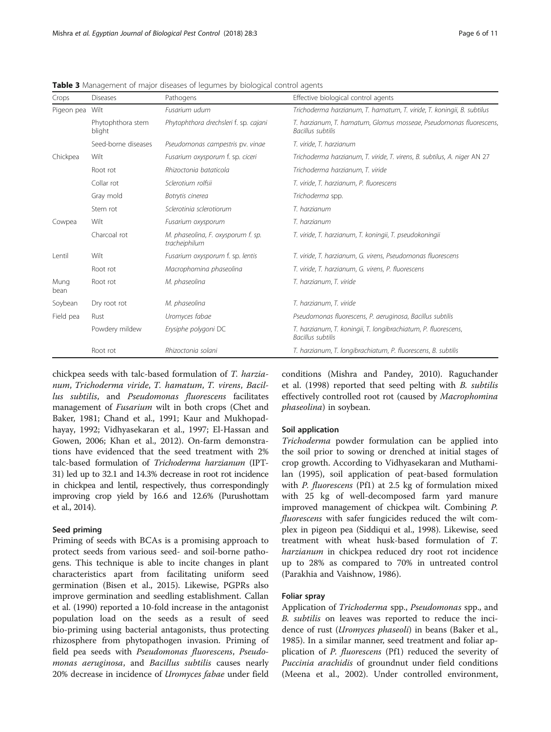| Crops        | <b>Diseases</b>             | Pathogens                                           | Effective biological control agents                                                        |
|--------------|-----------------------------|-----------------------------------------------------|--------------------------------------------------------------------------------------------|
| Pigeon pea   | Wilt                        | Fusarium udum                                       | Trichoderma harzianum, T. hamatum, T. viride, T. koningii, B. subtilus                     |
|              | Phytophthora stem<br>blight | Phytophthora drechsleri f. sp. cajani               | T. harzianum, T. hamatum, Glomus mosseae, Pseudomonas fluorescens,<br>Bacillus subtilis    |
|              | Seed-borne diseases         | Pseudomonas campestris pv. vinae                    | T. viride, T. harzianum                                                                    |
| Chickpea     | Wilt                        | Fusarium oxysporum f. sp. ciceri                    | Trichoderma harzianum, T. viride, T. virens, B. subtilus, A. niger AN 27                   |
|              | Root rot                    | Rhizoctonia bataticola                              | Trichoderma harzianum, T. viride                                                           |
|              | Collar rot                  | Sclerotium rolfsii                                  | T. viride, T. harzianum, P. fluorescens                                                    |
|              | Gray mold                   | Botrytis cinerea                                    | Trichoderma spp.                                                                           |
|              | Stem rot                    | Sclerotinia sclerotiorum                            | T. harzianum                                                                               |
| Cowpea       | Wilt                        | Fusarium oxysporum                                  | T. harzianum                                                                               |
|              | Charcoal rot                | M. phaseolina, F. oxysporum f. sp.<br>tracheiphilum | T. viride, T. harzianum, T. koningii, T. pseudokoningii                                    |
| Lentil       | Wilt                        | Fusarium oxysporum f. sp. lentis                    | T. viride, T. harzianum, G. virens, Pseudomonas fluorescens                                |
|              | Root rot                    | Macrophomina phaseolina                             | T. viride, T. harzianum, G. virens, P. fluorescens                                         |
| Mung<br>bean | Root rot                    | M. phaseolina                                       | T. harzianum, T. viride                                                                    |
| Soybean      | Dry root rot                | M. phaseolina                                       | T. harzianum, T. viride                                                                    |
| Field pea    | Rust                        | Uromyces fabae                                      | Pseudomonas fluorescens, P. aeruginosa, Bacillus subtilis                                  |
|              | Powdery mildew              | Erysiphe polygoni DC                                | T. harzianum, T. koningii, T. longibrachiatum, P. fluorescens,<br><b>Bacillus subtilis</b> |
|              | Root rot                    | Rhizoctonia solani                                  | T. harzianum, T. longibrachiatum, P. fluorescens, B. subtilis                              |

<span id="page-5-0"></span>Table 3 Management of major diseases of legumes by biological control agents

chickpea seeds with talc-based formulation of T. harzianum, Trichoderma viride, T. hamatum, T. virens, Bacillus subtilis, and Pseudomonas fluorescens facilitates management of *Fusarium* wilt in both crops (Chet and Baker, [1981;](#page-8-0) Chand et al., [1991;](#page-8-0) Kaur and Mukhopadhayay, [1992;](#page-8-0) Vidhyasekaran et al., [1997;](#page-10-0) El-Hassan and Gowen, [2006](#page-8-0); Khan et al., [2012](#page-8-0)). On-farm demonstrations have evidenced that the seed treatment with 2% talc-based formulation of Trichoderma harzianum (IPT-31) led up to 32.1 and 14.3% decrease in root rot incidence in chickpea and lentil, respectively, thus correspondingly improving crop yield by 16.6 and 12.6% (Purushottam et al., [2014\)](#page-9-0).

### Seed priming

Priming of seeds with BCAs is a promising approach to protect seeds from various seed- and soil-borne pathogens. This technique is able to incite changes in plant characteristics apart from facilitating uniform seed germination (Bisen et al., [2015](#page-8-0)). Likewise, PGPRs also improve germination and seedling establishment. Callan et al. [\(1990](#page-8-0)) reported a 10-fold increase in the antagonist population load on the seeds as a result of seed bio-priming using bacterial antagonists, thus protecting rhizosphere from phytopathogen invasion. Priming of field pea seeds with Pseudomonas fluorescens, Pseudomonas aeruginosa, and Bacillus subtilis causes nearly 20% decrease in incidence of Uromyces fabae under field conditions (Mishra and Pandey, [2010](#page-9-0)). Raguchander et al. [\(1998\)](#page-9-0) reported that seed pelting with B. subtilis effectively controlled root rot (caused by Macrophomina phaseolina) in soybean.

#### Soil application

Trichoderma powder formulation can be applied into the soil prior to sowing or drenched at initial stages of crop growth. According to Vidhyasekaran and Muthamilan [\(1995\)](#page-10-0), soil application of peat-based formulation with P. fluorescens (Pf1) at 2.5 kg of formulation mixed with 25 kg of well-decomposed farm yard manure improved management of chickpea wilt. Combining P. fluorescens with safer fungicides reduced the wilt complex in pigeon pea (Siddiqui et al., [1998](#page-9-0)). Likewise, seed treatment with wheat husk-based formulation of T. harzianum in chickpea reduced dry root rot incidence up to 28% as compared to 70% in untreated control (Parakhia and Vaishnow, [1986](#page-9-0)).

#### Foliar spray

Application of Trichoderma spp., Pseudomonas spp., and B. subtilis on leaves was reported to reduce the incidence of rust (Uromyces phaseoli) in beans (Baker et al., [1985](#page-8-0)). In a similar manner, seed treatment and foliar application of P. fluorescens (Pf1) reduced the severity of Puccinia arachidis of groundnut under field conditions (Meena et al., [2002\)](#page-9-0). Under controlled environment,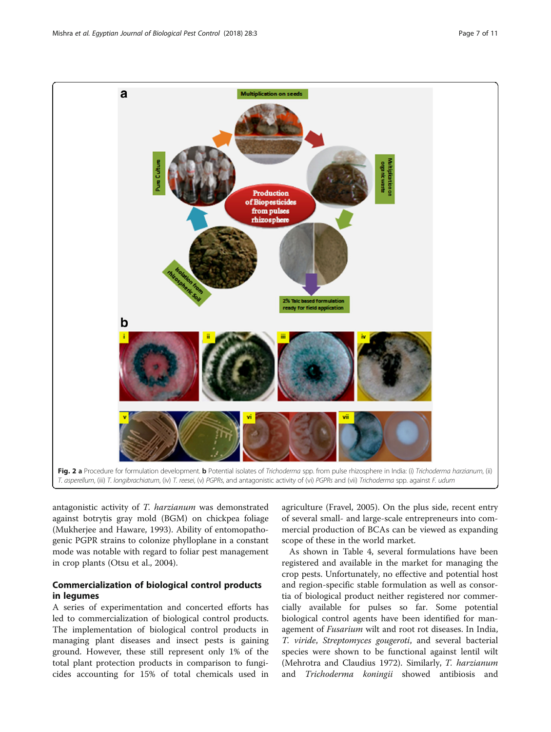<span id="page-6-0"></span>

antagonistic activity of T. harzianum was demonstrated against botrytis gray mold (BGM) on chickpea foliage (Mukherjee and Haware, [1993\)](#page-9-0). Ability of entomopathogenic PGPR strains to colonize phylloplane in a constant mode was notable with regard to foliar pest management in crop plants (Otsu et al., [2004\)](#page-9-0).

# Commercialization of biological control products in legumes

A series of experimentation and concerted efforts has led to commercialization of biological control products. The implementation of biological control products in managing plant diseases and insect pests is gaining ground. However, these still represent only 1% of the total plant protection products in comparison to fungicides accounting for 15% of total chemicals used in

agriculture (Fravel, [2005](#page-8-0)). On the plus side, recent entry of several small- and large-scale entrepreneurs into commercial production of BCAs can be viewed as expanding scope of these in the world market.

As shown in Table [4,](#page-7-0) several formulations have been registered and available in the market for managing the crop pests. Unfortunately, no effective and potential host and region-specific stable formulation as well as consortia of biological product neither registered nor commercially available for pulses so far. Some potential biological control agents have been identified for management of Fusarium wilt and root rot diseases. In India, T. viride, Streptomyces gougeroti, and several bacterial species were shown to be functional against lentil wilt (Mehrotra and Claudius [1972\)](#page-9-0). Similarly, T. harzianum and Trichoderma koningii showed antibiosis and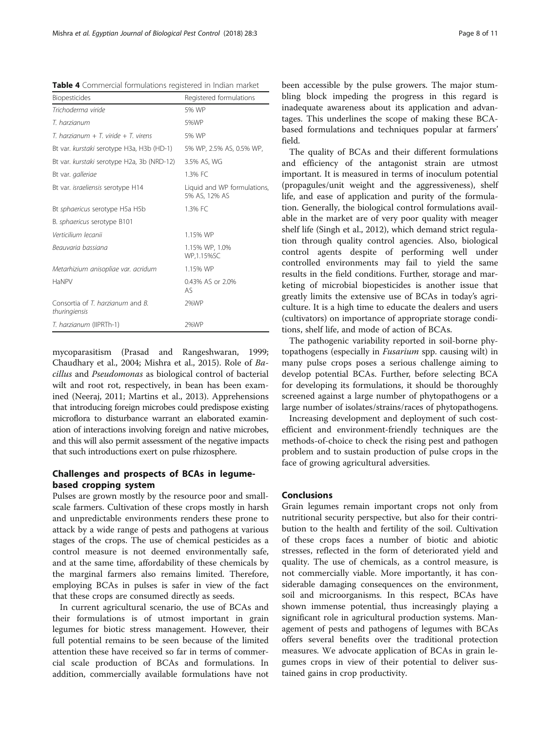<span id="page-7-0"></span>Table 4 Commercial formulations registered in Indian market

| <b>Biopesticides</b>                              | Registered formulations                      |  |  |
|---------------------------------------------------|----------------------------------------------|--|--|
| Trichoderma viride                                | 5% WP                                        |  |  |
| T. harzianum                                      | 5%WP                                         |  |  |
| $T.$ harzianum + T. viride + T. virens            | 5% WP                                        |  |  |
| Bt var. kurstaki serotype H3a, H3b (HD-1)         | 5% WP, 2.5% AS, 0.5% WP,                     |  |  |
| Bt var. kurstaki serotype H2a, 3b (NRD-12)        | 3.5% AS, WG                                  |  |  |
| Bt var. galleriae                                 | 1.3% FC                                      |  |  |
| Bt var. <i>israeliensis</i> serotype H14          | Liquid and WP formulations,<br>5% AS, 12% AS |  |  |
| Bt sphaericus serotype H5a H5b                    | 1.3% FC                                      |  |  |
| B. sphaericus serotype B101                       |                                              |  |  |
| Verticilium lecanii                               | 1.15% WP                                     |  |  |
| Beauvaria bassiana                                | 1.15% WP, 1.0%<br>WP,1.15%SC                 |  |  |
| Metarhizium anisopliae var. acridum               | 1.15% WP                                     |  |  |
| <b>HaNPV</b>                                      | 0.43% AS or 2.0%<br>AS                       |  |  |
| Consortia of T. harzianum and B.<br>thuringiensis | 2%WP                                         |  |  |
| T. harzianum (IIPRTh-1)                           | 2%WP                                         |  |  |

mycoparasitism (Prasad and Rangeshwaran, [1999](#page-9-0); Chaudhary et al., [2004](#page-8-0); Mishra et al., [2015\)](#page-9-0). Role of Bacillus and Pseudomonas as biological control of bacterial wilt and root rot, respectively, in bean has been examined (Neeraj, [2011](#page-9-0); Martins et al., [2013](#page-9-0)). Apprehensions that introducing foreign microbes could predispose existing microflora to disturbance warrant an elaborated examination of interactions involving foreign and native microbes, and this will also permit assessment of the negative impacts that such introductions exert on pulse rhizosphere.

# Challenges and prospects of BCAs in legumebased cropping system

Pulses are grown mostly by the resource poor and smallscale farmers. Cultivation of these crops mostly in harsh and unpredictable environments renders these prone to attack by a wide range of pests and pathogens at various stages of the crops. The use of chemical pesticides as a control measure is not deemed environmentally safe, and at the same time, affordability of these chemicals by the marginal farmers also remains limited. Therefore, employing BCAs in pulses is safer in view of the fact that these crops are consumed directly as seeds.

In current agricultural scenario, the use of BCAs and their formulations is of utmost important in grain legumes for biotic stress management. However, their full potential remains to be seen because of the limited attention these have received so far in terms of commercial scale production of BCAs and formulations. In addition, commercially available formulations have not

been accessible by the pulse growers. The major stumbling block impeding the progress in this regard is inadequate awareness about its application and advantages. This underlines the scope of making these BCAbased formulations and techniques popular at farmers' field.

The quality of BCAs and their different formulations and efficiency of the antagonist strain are utmost important. It is measured in terms of inoculum potential (propagules/unit weight and the aggressiveness), shelf life, and ease of application and purity of the formulation. Generally, the biological control formulations available in the market are of very poor quality with meager shelf life (Singh et al., [2012](#page-9-0)), which demand strict regulation through quality control agencies. Also, biological control agents despite of performing well under controlled environments may fail to yield the same results in the field conditions. Further, storage and marketing of microbial biopesticides is another issue that greatly limits the extensive use of BCAs in today's agriculture. It is a high time to educate the dealers and users (cultivators) on importance of appropriate storage conditions, shelf life, and mode of action of BCAs.

The pathogenic variability reported in soil-borne phytopathogens (especially in *Fusarium* spp. causing wilt) in many pulse crops poses a serious challenge aiming to develop potential BCAs. Further, before selecting BCA for developing its formulations, it should be thoroughly screened against a large number of phytopathogens or a large number of isolates/strains/races of phytopathogens.

Increasing development and deployment of such costefficient and environment-friendly techniques are the methods-of-choice to check the rising pest and pathogen problem and to sustain production of pulse crops in the face of growing agricultural adversities.

# **Conclusions**

Grain legumes remain important crops not only from nutritional security perspective, but also for their contribution to the health and fertility of the soil. Cultivation of these crops faces a number of biotic and abiotic stresses, reflected in the form of deteriorated yield and quality. The use of chemicals, as a control measure, is not commercially viable. More importantly, it has considerable damaging consequences on the environment, soil and microorganisms. In this respect, BCAs have shown immense potential, thus increasingly playing a significant role in agricultural production systems. Management of pests and pathogens of legumes with BCAs offers several benefits over the traditional protection measures. We advocate application of BCAs in grain legumes crops in view of their potential to deliver sustained gains in crop productivity.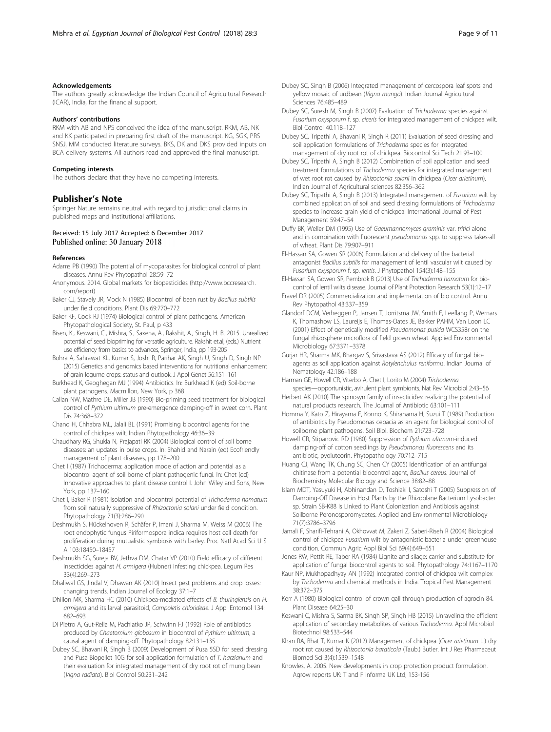#### <span id="page-8-0"></span>Acknowledgements

The authors greatly acknowledge the Indian Council of Agricultural Research (ICAR), India, for the financial support.

#### Authors' contributions

RKM with AB and NPS conceived the idea of the manuscript. RKM, AB, NK and KK participated in preparing first draft of the manuscript. KG, SGK, PRS SNSJ, MM conducted literature surveys. BKS, DK and DKS provided inputs on BCA delivery systems. All authors read and approved the final manuscript.

#### Competing interests

The authors declare that they have no competing interests.

#### Publisher's Note

Springer Nature remains neutral with regard to jurisdictional claims in published maps and institutional affiliations.

#### Received: 15 July 2017 Accepted: 6 December 2017 Published online: 30 January 2018

#### References

- Adams PB (1990) The potential of mycoparasites for biological control of plant diseases. Annu Rev Phytopathol 28:59–72
- Anonymous. 2014. Global markets for biopesticides [\(http://www.bccresearch.](http://www.bccresearch.com/report) [com/report](http://www.bccresearch.com/report))
- Baker CJ, Stavely JR, Mock N (1985) Biocontrol of bean rust by Bacillus subtilis under field conditions. Plant Dis 69:770–772
- Baker KF, Cook RJ (1974) Biological control of plant pathogens. American Phytopathological Society, St. Paul, p 433
- Bisen, K., Keswani, C., Mishra, S., Saxena, A., Rakshit, A., Singh, H. B. 2015. Unrealized potential of seed biopriming for versatile agriculture. Rakshit et.al, (eds.) Nutrient use efficiency from basics to advances, Springer, India, pp 193-205
- Bohra A, Sahrawat KL, Kumar S, Joshi R, Parihar AK, Singh U, Singh D, Singh NP (2015) Genetics and genomics based interventions for nutritional enhancement of grain legume crops: status and outlook. J Appl Genet 56:151–161
- Burkhead K, Geoghegan MJ (1994) Antibiotics. In: Burkhead K (ed) Soil-borne plant pathogens. Macmillon, New York, p 368
- Callan NW, Mathre DE, Miller JB (1990) Bio-priming seed treatment for biological control of Pythium ultimum pre-emergence damping-off in sweet corn. Plant Dis 74:368–372
- Chand H, Chhabra ML, Jalali BL (1991) Promising biocontrol agents for the control of chickpea wilt. Indian Phytopathology 46:36–39
- Chaudhary RG, Shukla N, Prajapati RK (2004) Biological control of soil borne diseases: an updates in pulse crops. In: Shahid and Narain (ed) Ecofriendly management of plant diseases, pp 178–200
- Chet I (1987) Trichoderma: application mode of action and potential as a biocontrol agent of soil borne of plant pathogenic fungi. In: Chet (ed) Innovative approaches to plant disease control I. John Wiley and Sons, New York, pp 137–160
- Chet I, Baker R (1981) Isolation and biocontrol potential of Trichoderma hamatum from soil naturally suppressive of Rhizoctonia solani under field condition. Phytopathology 71(3):286–290
- Deshmukh S, Hückelhoven R, Schäfer P, Imani J, Sharma M, Weiss M (2006) The root endophytic fungus Piriformospora indica requires host cell death for proliferation during mutualistic symbiosis with barley. Proc Natl Acad Sci U S A 103:18450–18457
- Deshmukh SG, Sureja BV, Jethva DM, Chatar VP (2010) Field efficacy of different insecticides against H. armigera (Hubner) infesting chickpea. Legum Res 33(4):269–273
- Dhaliwal GS, Jindal V, Dhawan AK (2010) Insect pest problems and crop losses: changing trends. Indian Journal of Ecology 37:1–7
- Dhillon MK, Sharma HC (2010) Chickpea-mediated effects of B. thuringiensis on H. armigera and its larval parasitoid, Campoletis chlorideae. J Appl Entomol 134: 682–693
- Di Pietro A, Gut-Rella M, Pachlatko JP, Schwinn FJ (1992) Role of antibiotics produced by Chaetomium globosum in biocontrol of Pythium ultimum, a causal agent of damping-off. Phytopathology 82:131–135
- Dubey SC, Bhavani R, Singh B (2009) Development of Pusa 5SD for seed dressing and Pusa Biopellet 10G for soil application formulation of T. harzianum and their evaluation for integrated management of dry root rot of mung bean (Vigna radiata). Biol Control 50:231–242
- Dubey SC, Singh B (2006) Integrated management of cercospora leaf spots and yellow mosaic of urdbean (Vigna mungo). Indian Journal Agricultural Sciences 76:485–489
- Dubey SC, Suresh M, Singh B (2007) Evaluation of Trichoderma species against Fusarium oxysporum f. sp. ciceris for integrated management of chickpea wilt. Biol Control 40:118–127
- Dubey SC, Tripathi A, Bhavani R, Singh R (2011) Evaluation of seed dressing and soil application formulations of Trichoderma species for integrated management of dry root rot of chickpea. Biocontrol Sci Tech 21:93–100
- Dubey SC, Tripathi A, Singh B (2012) Combination of soil application and seed treatment formulations of Trichoderma species for integrated management of wet root rot caused by Rhizoctonia solani in chickpea (Cicer arietinum). Indian Journal of Agricultural sciences 82:356–362
- Dubey SC, Tripathi A, Singh B (2013) Integrated management of Fusarium wilt by combined application of soil and seed dressing formulations of Trichoderma species to increase grain yield of chickpea. International Journal of Pest Management 59:47–54
- Duffy BK, Weller DM (1995) Use of Gaeumannomyces graminis var. tritici alone and in combination with fluorescent pseudomonas spp. to suppress takes-all of wheat. Plant Dis 79:907–911
- El-Hassan SA, Gowen SR (2006) Formulation and delivery of the bacterial antagonist Bacillus subtilis for management of lentil vascular wilt caused by Fusarium oxysporum f. sp. lentis. J Phytopathol 154(3):148–155
- El-Hassan SA, Gowen SR, Pembrok B (2013) Use of Trichoderma hamatum for biocontrol of lentil wilts disease. Journal of Plant Protection Research 53(1):12–17
- Fravel DR (2005) Commercialization and implementation of bio control. Annu Rev Phytopathol 43:337–359
- Glandorf DCM, Verheggen P, Jansen T, Jorritsma JW, Smith E, Leeflang P, Wernars K, Thomashow LS, Laureijs E, Thomas-Oates JE, Bakker PAHM, Van Loon LC (2001) Effect of genetically modified Pseudomonas putida WCS358r on the fungal rhizosphere microflora of field grown wheat. Applied Environmental Microbiology 67:3371–3378
- Gurjar HR, Sharma MK, Bhargav S, Srivastava AS (2012) Efficacy of fungal bioagents as soil application against Rotylenchulus reniformis. Indian Journal of Nematology 42:186–188
- Harman GE, Howell CR, Viterbo A, Chet I, Lorito M (2004) Trichoderma species—opportunistic, avirulent plant symbionts. Nat Rev Microbiol 2:43–56
- Herbert AK (2010) The spinosyn family of insecticides: realizing the potential of natural products research. The Journal of Antibiotic 63:101–111
- Homma Y, Kato Z, Hirayama F, Konno K, Shirahama H, Suzui T (1989) Production of antibiotics by Pseudomonas cepacia as an agent for biological control of soilborne plant pathogens. Soil Biol. Biochem 21:723–728
- Howell CR, Stipanovic RD (1980) Suppression of Pythium ultimum-induced damping-off of cotton seedlings by Pseudomonas fluorescens and its antibiotic, pyoluteorin. Phytopathology 70:712–715
- Huang CJ, Wang TK, Chung SC, Chen CY (2005) Identification of an antifungal chitinase from a potential biocontrol agent, Bacillus cereus. Journal of Biochemistry Molecular Biology and Science 38:82–88
- Islam MDT, Yasuyuki H, Abhinandan D, Toshiaki I, Satoshi T (2005) Suppression of Damping-Off Disease in Host Plants by the Rhizoplane Bacterium Lysobacter sp. Strain SB-K88 Is Linked to Plant Colonization and Antibiosis against Soilborne Peronosporomycetes. Applied and Environmental Microbiology 71(7):3786–3796
- Jamali F, Sharifi-Tehrani A, Okhovvat M, Zakeri Z, Saberi-Riseh R (2004) Biological control of chickpea Fusarium wilt by antagonistic bacteria under greenhouse condition. Commun Agric Appl Biol Sci 69(4):649–651
- Jones RW, Pettit RE, Taber RA (1984) Lignite and silage: carrier and substitute for application of fungal biocontrol agents to soil. Phytopathology 74:1167–1170
- Kaur NP, Mukhopadhyay AN (1992) Integrated control of chickpea wilt complex by Trichoderma and chemical methods in India. Tropical Pest Management 38:372–375
- Kerr A (1980) Biological control of crown gall through production of agrocin 84. Plant Disease 64:25–30
- Keswani C, Mishra S, Sarma BK, Singh SP, Singh HB (2015) Unraveling the efficient application of secondary metabolites of various Trichoderma. Appl Microbiol Biotechnol 98:533–544
- Khan RA, Bhat T, Kumar K (2012) Management of chickpea (Cicer arietinum L.) dry root rot caused by Rhizoctonia bataticola (Taub.) Butler. Int J Res Pharmaceut Biomed Sci 3(4):1539–1548
- Knowles, A. 2005. New developments in crop protection product formulation. Agrow reports UK: T and F Informa UK Ltd, 153-156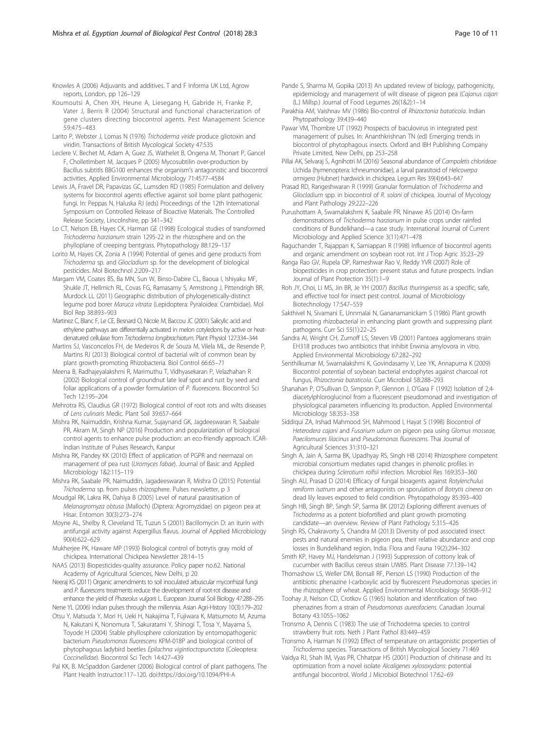<span id="page-9-0"></span>Knowles A (2006) Adjuvants and additives. T and F Informa UK Ltd, Agrow reports, London, pp 126–129

- Koumoutsi A, Chen XH, Heune A, Liesegang H, Gabride H, Franke P, Vater J, Berris R (2004) Structural and functional characterization of gene clusters directing biocontrol agents. Pest Management Science 59:475–483
- Larito P, Webster J, Lomas N (1976) Trichoderma viride produce gliotoxin and viridin. Transactions of British Mycological Society 47:535
- Leclere V, Bechet M, Adam A, Guez JS, Wathelet B, Ongena M, Thonart P, Gancel F, CholletImbert M, Jacques P (2005) Mycosubtilin over-production by Bacillus subtitls BBG100 enhances the organism's antagonistic and biocontrol activities. Applied Environmental Microbiology 71:4577–4584
- Lewis JA, Fravel DR, Papavizas GC, Lumsden RD (1985) Formulation and delivery systems for biocontrol agents effective against soil borne plant pathogenic fungi. In: Peppas N, Haluska RJ (eds) Proceedings of the 12th International Symposium on Controlled Release of Bioactive Materials. The Controlled Release Society, Lincolnshire, pp 341–342
- Lo CT, Nelson EB, Hayes CK, Harman GE (1998) Ecological studies of transformed Trichoderma harzianum strain 1295-22 in the rhizosphere and on the phylloplane of creeping bentgrass. Phytopathology 88:129–137
- Lorito M, Hayes CK, Zonia A (1994) Potential of genes and gene products from Trichoderma sp. and Gliocladium sp. for the development of biological pesticides. Mol Biotechnol 2:209–217
- Margam VM, Coates BS, Ba MN, Sun W, Binso-Dabire CL, Baoua I, Ishiyaku MF, Shukle JT, Hellmich RL, Covas FG, Ramasamy S, Armstrong J, Pittendrigh BR, Murdock LL (2011) Geographic distribution of phylogenetically-distinct legume pod borer Maruca vitrata (Lepidoptera: Pyraloidea: Crambidae). Mol Biol Rep 38:893–903
- Martinez C, Blanc F, Le CE, Besnard O, Nicole M, Baccou JC (2001) Salicylic acid and ethylene pathways are differentially activated in melon cotyledons by active or heatdenatured cellulase from Trichoderma longibrachiatum. Plant Physiol 127:334–344
- Martins SJ, Vasconcelos FH, de Medeiros R, de Souza M, Vilela ML, de Resende P, Martins RJ (2013) Biological control of bacterial wilt of common bean by plant growth-promoting Rhizobacteria. Biol Control 66:65–71
- Meena B, Radhajeyalakshmi R, Marimuthu T, Vidhyasekaran P, Velazhahan R (2002) Biological control of groundnut late leaf spot and rust by seed and foliar applications of a powder formulation of P. fluorescens. Biocontrol Sci Tech 12:195–204
- Mehrotra RS, Claudius GR (1972) Biological control of root rots and wilts diseases of Lens culinaris Medic. Plant Soil 39:657–664
- Mishra RK, Naimuddin, Krishna Kumar, Sujaynand GK, Jagdeeswaran R, Saabale PR, Akram M, Singh NP (2016) Production and popularization of biological control agents to enhance pulse production: an eco-friendly approach. ICAR-Indian Institute of Pulses Research, Kanpur
- Mishra RK, Pandey KK (2010) Effect of application of PGPR and neemazal on management of pea rust (Uromyces fabae). Journal of Basic and Applied Microbiology 1&2:115–119
- Mishra RK, Saabale PR, Naimuddin, Jagadeeswaran R, Mishra O (2015) Potential Trichoderma sp. from pulses rhizosphere. Pulses newsletter, p 3
- Moudgal RK, Lakra RK, Dahiya B (2005) Level of natural parasitisation of Melanagromyza obtusa (Malloch) (Diptera: Agromyzidae) on pigeon pea at Hisar. Entomon 30(3):273–274
- Moyne AL, Shelby R, Cleveland TE, Tuzun S (2001) Bacillomycin D: an iturin with antifungal activity against Aspergillus flavus. Journal of Applied Microbiology 90(4):622–629
- Mukherjee PK, Haware MP (1993) Biological control of botrytis gray mold of chickpea. International Chickpea Newsletter 28:14–15
- NAAS (2013) Biopesticides-quality assurance. Policy paper no.62. National Academy of Agricultural Sciences, New Delhi, p 20
- Neeraj KS (2011) Organic amendments to soil inoculated arbuscular mycorrhizal fungi and P. fluorescens treatments reduce the development of root-rot disease and enhance the yield of Phaseolus vulgaris L. European Journal Soil Biology 47:288–295
- Nene YL (2006) Indian pulses through the millennia. Asian Agri-History 10(3):179–202 Otsu Y, Matsuda Y, Mori H, Ueki H, Nakajima T, Fujiwara K, Matsumoto M, Azuma N, Kakutani K, Nonomura T, Sakuratami Y, Shinogi T, Tosa Y, Mayama S, Toyode H (2004) Stable phyllosphere colonization by entomopathogenic
- bacterium Pseudomonas fluorescens KPM-018P and biological control of phytophagous ladybird beetles Epilachna vigintioctopunctata (Coleoptera: Coccinellidae). Biocontrol Sci Tech 14:427–439
- Pal KK, B. McSpaddon Gardener (2006) Biological control of plant pathogens. The Plant Health Instructor:117–120. doi[:https://doi.org/10.1094/PHI-A](http://dx.doi.org/10.1094/PHI-A)
- Pande S, Sharma M, Gopika (2013) An updated review of biology, pathogenicity, epidemiology and management of wilt disease of pigeon pea (Cajanus cajan (L.) Millsp.) Journal of Food Legumes 26(1&2):1–14
- Parakhia AM, Vaishnav MV (1986) Bio-control of Rhizoctonia bataticola. Indian Phytopathology 39:439–440
- Pawar VM, Thombre UT (1992) Prospects of baculovirus in integrated pest management of pulses. In: Ananthkrishnan TN (ed) Emerging trends in biocontrol of phytophagous insects. Oxford and IBH Publishing Company Private Limited, New Delhi, pp 253–258
- Pillai AK, Selvaraj S, Agnihotri M (2016) Seasonal abundance of Campoletis chlorideae Uchida (hymenoptera: Ichneumonidae), a larval parasitoid of Helicoverpa armigera (Hubner) hardwick in chickpea. Legum Res 39(4):643–647
- Prasad RD, Rangeshwaran R (1999) Granular formulation of Trichoderma and Gliocladium spp. in biocontrol of R. solani of chickpea. Journal of Mycology and Plant Pathology 29:222–226
- Purushottam A, Swarnalakshmi K, Saabale PR, Ninawe AS (2014) On-farm demonstrations of Trichoderma harzianum in pulse crops under rainfed conditions of Bundelkhand—a case study. International Journal of Current Microbiology and Applied Science 3(11):471–478
- Raguchander T, Rajappan K, Samiappan R (1998) Influence of biocontrol agents and organic amendment on soybean root rot. Int J Trop Agric 35:23–29
- Ranga Rao GV, Rupela OP, Rameshwar Rao V, Reddy YVR (2007) Role of biopesticides in crop protection: present status and future prospects. Indian Journal of Plant Protection 35(1):1–9
- Roh JY, Choi, Li MS, Jin BR, Je YH (2007) Bacillus thuringiensis as a specific, safe, and effective tool for insect pest control. Journal of Microbiology Biotechnology 17:547–559
- Sakthivel N, Sivamani E, Unnmalai N, Gananamanickam S (1986) Plant growth promoting rhizobacterial in enhancing plant growth and suppressing plant pathogens. Curr Sci 55(1):22–25
- Sandra AI, Wright CH, Zumoff LS, Steven VB (2001) Pantoea agglomerans strain EH318 produces two antibiotics that inhibit Erwinia amylovora in vitro. Applied Environmental Microbiology 67:282–292
- Senthilkumar M, Swarnalakshmi K, Govindasamy V, Lee YK, Annapurna K (2009) Biocontrol potential of soybean bacterial endophytes against charcoal rot fungus, Rhizoctonia bataticola. Curr Microbiol 58:288–293
- Shanahan P, O'Sullivan D, Simpson P, Glennon J, O'Gara F (1992) Isolation of 2,4 diacetylphloroglucinol from a fluorescent pseudomonad and investigation of physiological parameters influencing its production. Applied Environmental Microbiology 58:353–358
- Siddiqui ZA, Irshad Mahmood SH, Mahmood I, Hayat S (1998) Biocontrol of Heterodera cajani and Fusarium udum on pigeon pea using Glomus mosseae, Paecilomuces lilacinus and Pseudomonas fluorescens. Thai Journal of Agricultural Sciences 31:310–321
- Singh A, Jain A, Sarma BK, Upadhyay RS, Singh HB (2014) Rhizosphere competent microbial consortium mediates rapid changes in phenolic profiles in chickpea during Sclerotium rolfsii infection. Microbiol Res 169:353–360
- Singh AU, Prasad D (2014) Efficacy of fungal bioagents against Rotylenchulus reniform isatrum and other antagonists on sporulation of Botrytis cinerea on dead lily leaves exposed to field condition. Phytopathology 85:393–400
- Singh HB, Singh BP, Singh SP, Sarma BK (2012) Exploring different avenues of Trichoderma as a potent biofortified and plant growth promoting candidate—an overview. Review of Plant Pathology 5:315–426
- Singh RS, Chakravorty S, Chandra M (2013) Diversity of pod associated insect pests and natural enemies in pigeon pea, their relative abundance and crop losses in Bundelkhand region, India. Flora and Fauna 19(2):294–302
- Smith KP, Havey MJ, Handelsman J (1993) Suppression of cottony leak of cucumber with Bacillus cereus strain UW85. Plant Disease 77:139–142
- Thomashow LS, Weller DM, Bonsall RF, Pierson LS (1990) Production of the antibiotic phenazine I-carboxylic acid by fluorescent Pseudomonas species in the rhizosphere of wheat. Applied Environmental Microbiology 56:908–912
- Toohay JI, Nelson CD, Crotkov G (1965) Isolation and identification of two phenazines from a strain of Pseudomonas aureofaciens. Canadian Journal Botany 43:1055–1062
- Tronsmo A, Dennis C (1983) The use of Trichoderma species to control strawberry fruit rots. Neth J Plant Pathol 83:449–459
- Tronsmo A, Harman N (1992) Effect of temperature on antagonistic properties of Trichoderma species. Transactions of British Mycological Society 71:469
- Vaidya RJ, Shah IM, Vyas PR, Chhatpar HS (2001) Production of chitinase and its optimization from a novel isolate Alcaligenes xylosoxydans: potential antifungal biocontrol. World J Microbiol Biotechnol 17:62–69